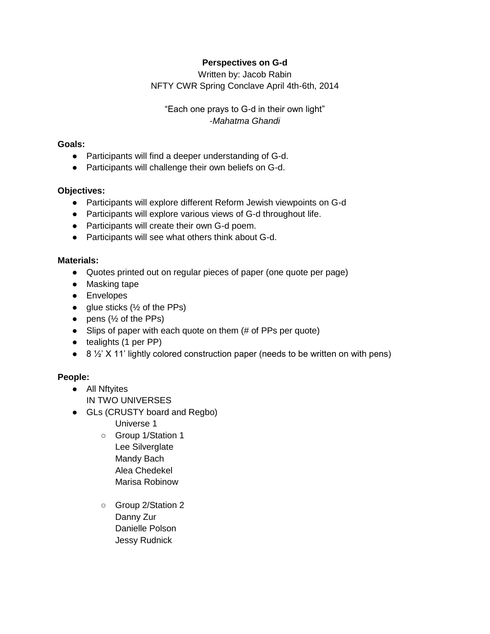# **Perspectives on G-d**

Written by: Jacob Rabin NFTY CWR Spring Conclave April 4th-6th, 2014

"Each one prays to G-d in their own light" *-Mahatma Ghandi* 

## **Goals:**

- Participants will find a deeper understanding of G-d.
- Participants will challenge their own beliefs on G-d.

## **Objectives:**

- Participants will explore different Reform Jewish viewpoints on G-d
- Participants will explore various views of G-d throughout life.
- Participants will create their own G-d poem.
- Participants will see what others think about G-d.

## **Materials:**

- Quotes printed out on regular pieces of paper (one quote per page)
- Masking tape
- Envelopes
- glue sticks  $(\frac{1}{2})$  of the PPs)
- $\bullet$  pens ( $\frac{1}{2}$  of the PPs)
- Slips of paper with each quote on them (# of PPs per quote)
- tealights (1 per PP)
- 8 ½' X 11' lightly colored construction paper (needs to be written on with pens)

## **People:**

- All Nftyites IN TWO UNIVERSES
- GLs (CRUSTY board and Regbo)
	- Universe 1
	- Group 1/Station 1 Lee Silverglate Mandy Bach Alea Chedekel Marisa Robinow
	- Group 2/Station 2 Danny Zur Danielle Polson Jessy Rudnick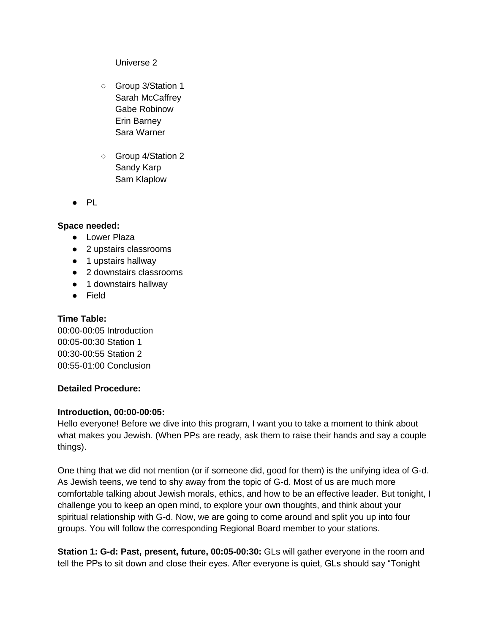Universe 2

- Group 3/Station 1 Sarah McCaffrey Gabe Robinow Erin Barney Sara Warner
- Group 4/Station 2 Sandy Karp Sam Klaplow
- PL

#### **Space needed:**

- Lower Plaza
- 2 upstairs classrooms
- 1 upstairs hallway
- 2 downstairs classrooms
- 1 downstairs hallway
- Field

### **Time Table:**

00:00-00:05 Introduction 00:05-00:30 Station 1 00:30-00:55 Station 2 00:55-01:00 Conclusion

#### **Detailed Procedure:**

#### **Introduction, 00:00-00:05:**

Hello everyone! Before we dive into this program, I want you to take a moment to think about what makes you Jewish. (When PPs are ready, ask them to raise their hands and say a couple things).

One thing that we did not mention (or if someone did, good for them) is the unifying idea of G-d. As Jewish teens, we tend to shy away from the topic of G-d. Most of us are much more comfortable talking about Jewish morals, ethics, and how to be an effective leader. But tonight, I challenge you to keep an open mind, to explore your own thoughts, and think about your spiritual relationship with G-d. Now, we are going to come around and split you up into four groups. You will follow the corresponding Regional Board member to your stations.

**Station 1: G-d: Past, present, future, 00:05-00:30: GLs will gather everyone in the room and** tell the PPs to sit down and close their eyes. After everyone is quiet, GLs should say "Tonight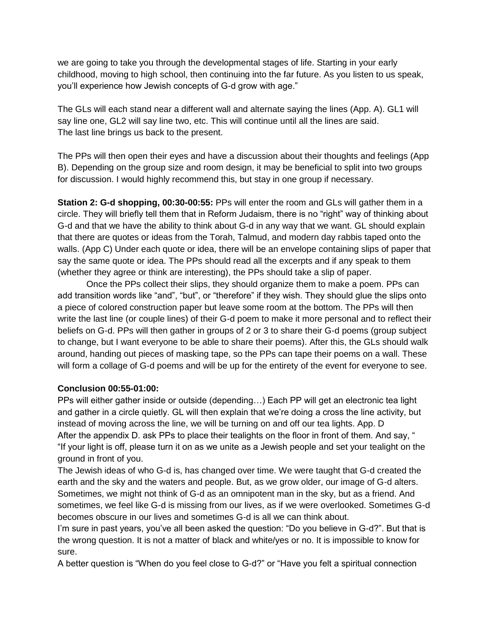we are going to take you through the developmental stages of life. Starting in your early childhood, moving to high school, then continuing into the far future. As you listen to us speak, you'll experience how Jewish concepts of G-d grow with age."

The GLs will each stand near a different wall and alternate saying the lines (App. A). GL1 will say line one, GL2 will say line two, etc. This will continue until all the lines are said. The last line brings us back to the present.

The PPs will then open their eyes and have a discussion about their thoughts and feelings (App B). Depending on the group size and room design, it may be beneficial to split into two groups for discussion. I would highly recommend this, but stay in one group if necessary.

**Station 2: G-d shopping, 00:30-00:55:** PPs will enter the room and GLs will gather them in a circle. They will briefly tell them that in Reform Judaism, there is no "right" way of thinking about G-d and that we have the ability to think about G-d in any way that we want. GL should explain that there are quotes or ideas from the Torah, Talmud, and modern day rabbis taped onto the walls. (App C) Under each quote or idea, there will be an envelope containing slips of paper that say the same quote or idea. The PPs should read all the excerpts and if any speak to them (whether they agree or think are interesting), the PPs should take a slip of paper.

Once the PPs collect their slips, they should organize them to make a poem. PPs can add transition words like "and", "but", or "therefore" if they wish. They should glue the slips onto a piece of colored construction paper but leave some room at the bottom. The PPs will then write the last line (or couple lines) of their G-d poem to make it more personal and to reflect their beliefs on G-d. PPs will then gather in groups of 2 or 3 to share their G-d poems (group subject to change, but I want everyone to be able to share their poems). After this, the GLs should walk around, handing out pieces of masking tape, so the PPs can tape their poems on a wall. These will form a collage of G-d poems and will be up for the entirety of the event for everyone to see.

## **Conclusion 00:55-01:00:**

PPs will either gather inside or outside (depending…) Each PP will get an electronic tea light and gather in a circle quietly. GL will then explain that we're doing a cross the line activity, but instead of moving across the line, we will be turning on and off our tea lights. App. D After the appendix D. ask PPs to place their tealights on the floor in front of them. And say, " "If your light is off, please turn it on as we unite as a Jewish people and set your tealight on the ground in front of you.

The Jewish ideas of who G-d is, has changed over time. We were taught that G-d created the earth and the sky and the waters and people. But, as we grow older, our image of G-d alters. Sometimes, we might not think of G-d as an omnipotent man in the sky, but as a friend. And sometimes, we feel like G-d is missing from our lives, as if we were overlooked. Sometimes G-d becomes obscure in our lives and sometimes G-d is all we can think about.

I'm sure in past years, you've all been asked the question: "Do you believe in G-d?". But that is the wrong question. It is not a matter of black and white/yes or no. It is impossible to know for sure.

A better question is "When do you feel close to G-d?" or "Have you felt a spiritual connection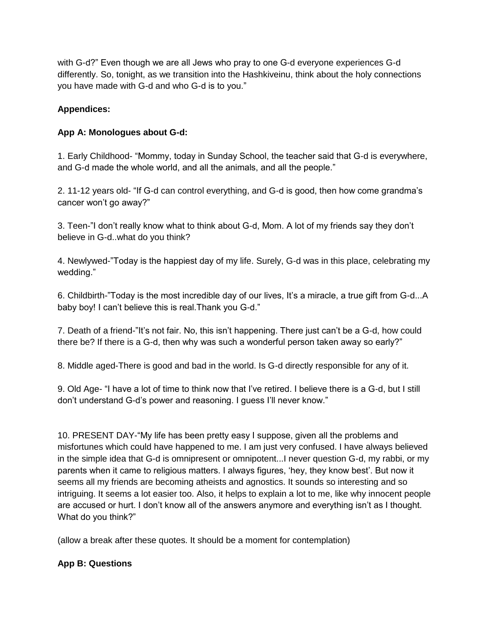with G-d?" Even though we are all Jews who pray to one G-d everyone experiences G-d differently. So, tonight, as we transition into the Hashkiveinu, think about the holy connections you have made with G-d and who G-d is to you."

# **Appendices:**

# **App A: Monologues about G-d:**

1. Early Childhood- "Mommy, today in Sunday School, the teacher said that G-d is everywhere, and G-d made the whole world, and all the animals, and all the people."

2. 11-12 years old- "If G-d can control everything, and G-d is good, then how come grandma's cancer won't go away?"

3. Teen-"I don't really know what to think about G-d, Mom. A lot of my friends say they don't believe in G-d..what do you think?

4. Newlywed-"Today is the happiest day of my life. Surely, G-d was in this place, celebrating my wedding."

6. Childbirth-"Today is the most incredible day of our lives, It's a miracle, a true gift from G-d...A baby boy! I can't believe this is real.Thank you G-d."

7. Death of a friend-"It's not fair. No, this isn't happening. There just can't be a G-d, how could there be? If there is a G-d, then why was such a wonderful person taken away so early?"

8. Middle aged-There is good and bad in the world. Is G-d directly responsible for any of it.

9. Old Age- "I have a lot of time to think now that I've retired. I believe there is a G-d, but I still don't understand G-d's power and reasoning. I guess I'll never know."

10. PRESENT DAY-"My life has been pretty easy I suppose, given all the problems and misfortunes which could have happened to me. I am just very confused. I have always believed in the simple idea that G-d is omnipresent or omnipotent...I never question G-d, my rabbi, or my parents when it came to religious matters. I always figures, 'hey, they know best'. But now it seems all my friends are becoming atheists and agnostics. It sounds so interesting and so intriguing. It seems a lot easier too. Also, it helps to explain a lot to me, like why innocent people are accused or hurt. I don't know all of the answers anymore and everything isn't as I thought. What do you think?"

(allow a break after these quotes. It should be a moment for contemplation)

## **App B: Questions**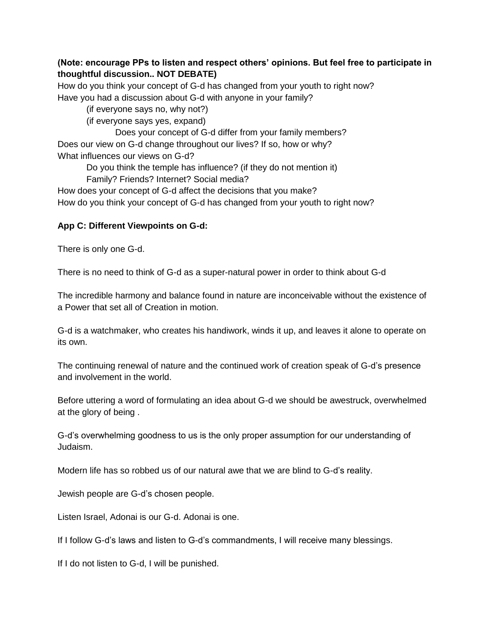# **(Note: encourage PPs to listen and respect others' opinions. But feel free to participate in thoughtful discussion.. NOT DEBATE)**

How do you think your concept of G-d has changed from your youth to right now? Have you had a discussion about G-d with anyone in your family?

(if everyone says no, why not?)

(if everyone says yes, expand)

Does your concept of G-d differ from your family members? Does our view on G-d change throughout our lives? If so, how or why? What influences our views on G-d?

Do you think the temple has influence? (if they do not mention it)

Family? Friends? Internet? Social media?

How does your concept of G-d affect the decisions that you make? How do you think your concept of G-d has changed from your youth to right now?

## **App C: Different Viewpoints on G-d:**

There is only one G-d.

There is no need to think of G-d as a super-natural power in order to think about G-d

The incredible harmony and balance found in nature are inconceivable without the existence of a Power that set all of Creation in motion.

G-d is a watchmaker, who creates his handiwork, winds it up, and leaves it alone to operate on its own.

The continuing renewal of nature and the continued work of creation speak of G-d's presence and involvement in the world.

Before uttering a word of formulating an idea about G-d we should be awestruck, overwhelmed at the glory of being .

G-d's overwhelming goodness to us is the only proper assumption for our understanding of Judaism.

Modern life has so robbed us of our natural awe that we are blind to G-d's reality.

Jewish people are G-d's chosen people.

Listen Israel, Adonai is our G-d. Adonai is one.

If I follow G-d's laws and listen to G-d's commandments, I will receive many blessings.

If I do not listen to G-d, I will be punished.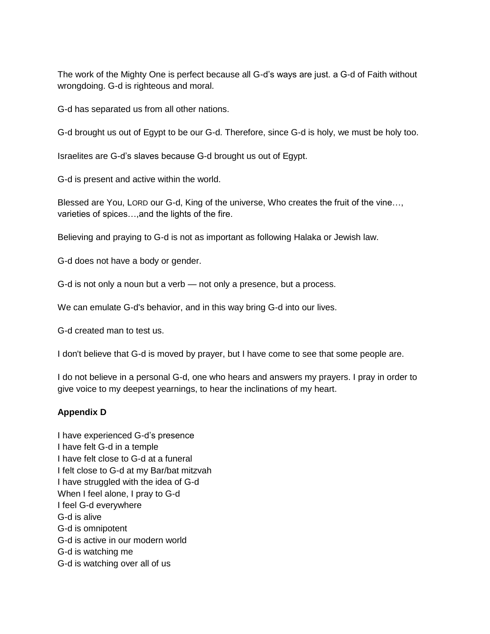The work of the Mighty One is perfect because all G-d's ways are just. a G-d of Faith without wrongdoing. G-d is righteous and moral.

G-d has separated us from all other nations.

G-d brought us out of Egypt to be our G-d. Therefore, since G-d is holy, we must be holy too.

Israelites are G-d's slaves because G-d brought us out of Egypt.

G-d is present and active within the world.

Blessed are You, LORD our G-d, King of the universe, Who creates the fruit of the vine…, varieties of spices…,and the lights of the fire.

Believing and praying to G-d is not as important as following Halaka or Jewish law.

G-d does not have a body or gender.

G-d is not only a noun but a verb — not only a presence, but a process.

We can emulate G-d's behavior, and in this way bring G-d into our lives.

G-d created man to test us.

I don't believe that G-d is moved by prayer, but I have come to see that some people are.

I do not believe in a personal G-d, one who hears and answers my prayers. I pray in order to give voice to my deepest yearnings, to hear the inclinations of my heart.

## **Appendix D**

I have experienced G-d's presence I have felt G-d in a temple I have felt close to G-d at a funeral I felt close to G-d at my Bar/bat mitzvah I have struggled with the idea of G-d When I feel alone, I pray to G-d I feel G-d everywhere G-d is alive G-d is omnipotent G-d is active in our modern world G-d is watching me G-d is watching over all of us